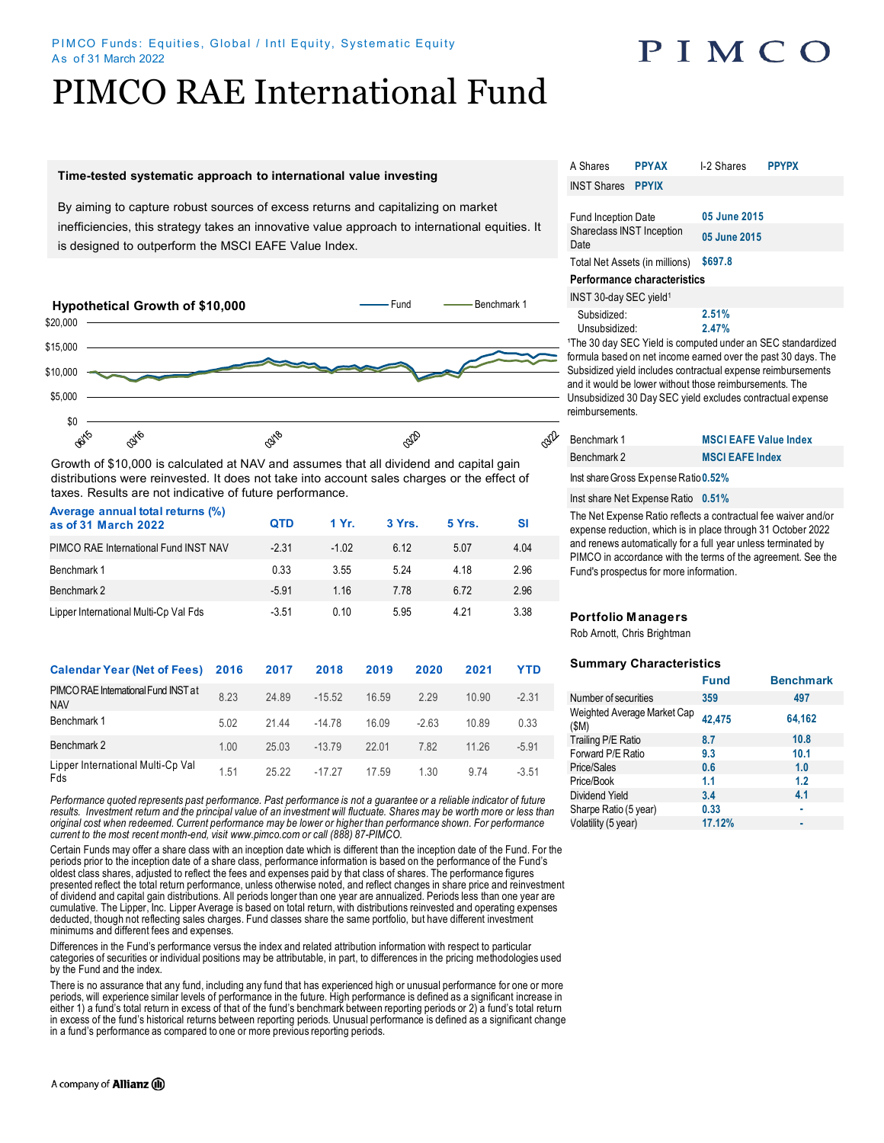# PIMCO

# PIMCO RAE International Fund

#### **Time-tested systematic approach to international value investing**

By aiming to capture robust sources of excess returns and capitalizing on market inefficiencies, this strategy takes an innovative value approach to international equities. It is designed to outperform the MSCI EAFE Value Index.



Growth of \$10,000 is calculated at NAV and assumes that all dividend and capital gain distributions were reinvested. It does not take into account sales charges or the effect of taxes. Results are not indicative of future performance. **Average annual total returns (%)** 

| Average annual total returns (%)<br>as of 31 March 2022 | <b>QTD</b> | 1 Yr.   | 3 Yrs. | 5 Yrs. | SI   |
|---------------------------------------------------------|------------|---------|--------|--------|------|
| PIMCO RAE International Fund INST NAV                   | $-2.31$    | $-1.02$ | 6.12   | 5.07   | 4.04 |
| Benchmark 1                                             | 0.33       | 3.55    | 5 24   | 4.18   | 2.96 |
| Benchmark 2                                             | $-5.91$    | 1.16    | 7.78   | 6.72   | 2.96 |
| Lipper International Multi-Cp Val Fds                   | $-3.51$    | 0.10    | 5.95   | 4 2 1  | 3.38 |

| <b>Calendar Year (Net of Fees)</b>                 | 2016 | 2017  | 2018     | 2019  | 2020    | 2021  | YTD     |
|----------------------------------------------------|------|-------|----------|-------|---------|-------|---------|
| PIMCO RAE International Fund INST at<br><b>NAV</b> | 8.23 | 24.89 | $-15.52$ | 16.59 | 2.29    | 10.90 | $-2.31$ |
| Benchmark 1                                        | 5.02 | 21 44 | $-14.78$ | 16.09 | $-2.63$ | 10.89 | 0.33    |
| Benchmark 2                                        | 1.00 | 25.03 | $-13.79$ | 22.01 | 7.82    | 11 26 | $-5.91$ |
| Lipper International Multi-Cp Val<br>Fds           | 1.51 | 25 22 | $-17.27$ | 17.59 | 1.30    | 9.74  | $-3.51$ |

*Performance quoted represents past performance. Past performance is not a guarantee or a reliable indicator of future*  results. Investment return and the principal value of an investment will fluctuate. Shares may be worth more or less than *original cost when redeemed. Current performance may be lower or higher than performance shown. For performance current to the most recent month-end, visit www.pimco.com or call (888) 87-PIMCO.*

Certain Funds may offer a share class with an inception date which is different than the inception date of the Fund. For the periods prior to the inception date of a share class, performance information is based on the performance of the Fund's oldest class shares, adjusted to reflect the fees and expenses paid by that class of shares. The performance figures presented reflect the total return performance, unless otherwise noted, and reflect changes in share price and reinvestment of dividend and capital gain distributions. All periods longer than one year are annualized. Periods less than one year are cumulative. The Lipper, Inc. Lipper Average is based on total return, with distributions reinvested and operating expenses deducted, though not reflecting sales charges. Fund classes share the same portfolio, but have different investment minimums and different fees and expenses.

Differences in the Fund's performance versus the index and related attribution information with respect to particular categories of securities or individual positions may be attributable, in part, to differences in the pricing methodologies used by the Fund and the index.

There is no assurance that any fund, including any fund that has experienced high or unusual performance for one or more periods, will experience similar levels of performance in the future. High performance is defined as a significant increase in either 1) a fund's total return in excess of that of the fund's benchmark between reporting periods or 2) a fund's total return in excess of the fund's historical returns between reporting periods. Unusual performance is defined as a significant change in a fund's performance as compared to one or more previous reporting periods.

| A Shares                                                | <b>PPYAX</b> | <b>L2 Shares</b> | <b>PPYPX</b> |
|---------------------------------------------------------|--------------|------------------|--------------|
| <b>INST Shares</b>                                      | <b>PPYIX</b> |                  |              |
| <b>Fund Inception Date</b><br>Shareclass INST Inception |              | 05 June 2015     |              |
| Date                                                    |              | 05 June 2015     |              |
| Total Net Assets (in millions)                          |              | \$697.8          |              |
| Performance characteristics                             |              |                  |              |
| INST 30-day SEC yield <sup>1</sup>                      |              |                  |              |
| Subsidized:                                             |              | 2.51%            |              |

Unsubsidized: **2.47%**

<sup>1</sup>The 30 day SEC Yield is computed under an SEC standardized formula based on net income earned over the past 30 days. The Subsidized yield includes contractual expense reimbursements and it would be lower without those reimbursements. The Unsubsidized 30 Day SEC yield excludes contractual expense reimbursements.

| Benchmark 1                          | <b>MSCI EAFE Value Index</b> |  |
|--------------------------------------|------------------------------|--|
| Benchmark 2                          | <b>MSCI EAFE Index</b>       |  |
| Inst share Gross Expense Ratio 0.52% |                              |  |

Inst share Net Expense Ratio **0.51%** 

The Net Expense Ratio reflects a contractual fee waiver and/or expense reduction, which is in place through 31 October 2022 and renews automatically for a full year unless terminated by PIMCO in accordance with the terms of the agreement. See the Fund's prospectus for more information.

## **Portfolio Managers**

Rob Arnott, Chris Brightman

### **Summary Characteristics**

|                                      | <b>Fund</b> | <b>Benchmark</b> |
|--------------------------------------|-------------|------------------|
| Number of securities                 | 359         | 497              |
| Weighted Average Market Cap<br>(\$M) | 42.475      | 64.162           |
| Trailing P/E Ratio                   | 8.7         | 10.8             |
| Forward P/E Ratio                    | 9.3         | 10.1             |
| Price/Sales                          | 0.6         | 1.0              |
| Price/Book                           | 1.1         | 1.2              |
| Dividend Yield                       | 3.4         | 4.1              |
| Sharpe Ratio (5 year)                | 0.33        |                  |
| Volatility (5 year)                  | 17.12%      | ۰                |